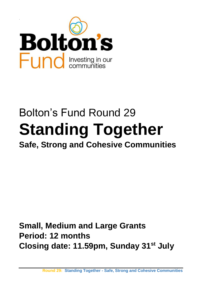

# Bolton's Fund Round 29 **Standing Together Safe, Strong and Cohesive Communities**

**Small, Medium and Large Grants Period: 12 months Closing date: 11.59pm, Sunday 31st July**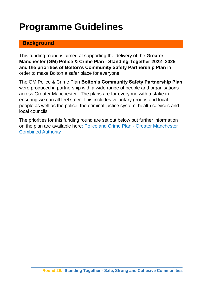# **Programme Guidelines**

#### **Background**

This funding round is aimed at supporting the delivery of the **Greater Manchester (GM) Police & Crime Plan - Standing Together 2022- 2025 and the priorities of Bolton's Community Safety Partnership Plan** in order to make Bolton a safer place for everyone.

The GM Police & Crime Plan **Bolton's Community Safety Partnership Plan** were produced in partnership with a wide range of people and organisations across Greater Manchester. The plans are for everyone with a stake in ensuring we can all feel safer. This includes voluntary groups and local people as well as the police, the criminal justice system, health services and local councils.

The priorities for this funding round are set out below but further information on the plan are available here: [Police and Crime Plan -](https://www.greatermanchester-ca.gov.uk/what-we-do/police-and-fire/police-and-crime-plan/) Greater Manchester [Combined Authority](https://www.greatermanchester-ca.gov.uk/what-we-do/police-and-fire/police-and-crime-plan/)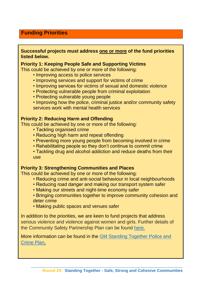#### **Funding Priorities**

#### **Successful projects must address one or more of the fund priorities listed below.**

#### **Priority 1: Keeping People Safe and Supporting Victims**

This could be achieved by one or more of the following:

- Improving access to police services
- Improving services and support for victims of crime
- Improving services for victims of sexual and domestic violence
- Protecting vulnerable people from criminal exploitation
- Protecting vulnerable young people
- Improving how the police, criminal justice and/or community safety services work with mental health services

#### **Priority 2: Reducing Harm and Offending**

This could be achieved by one or more of the following:

- Tackling organised crime
- Reducing high harm and repeat offending
- Preventing more young people from becoming involved in crime
- Rehabilitating people so they don't continue to commit crime
- Tackling drug and alcohol addiction and reduce deaths from their use

#### **Priority 3: Strengthening Communities and Places**

This could be achieved by one or more of the following:

- Reducing crime and anti-social behaviour in local neighbourhoods
- Reducing road danger and making our transport system safer
- Making our streets and night-time economy safer
- Bringing communities together to improve community cohesion and deter crime
- Making public spaces and venues safer

In addition to the priorities, we are keen to fund projects that address serious violence and violence against women and girls. Further details of the Community Safety Partnership Plan can be found [here.](https://www.boltoncvs.org.uk/sites/boltoncvs.org.uk/files/CSP%20Priorities.pdf)

More information can be found in the [GM Standing Together Police and](https://www.greatermanchester-ca.gov.uk/media/5892/gmca-police-and-crime-plan.pdf)  [Crime Plan.](https://www.greatermanchester-ca.gov.uk/media/5892/gmca-police-and-crime-plan.pdf)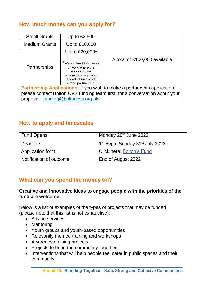## **How much money can you apply for?**

| <b>Small Grants</b>                                                         | Up to $£2,500$                                                                                                                         |                               |  |
|-----------------------------------------------------------------------------|----------------------------------------------------------------------------------------------------------------------------------------|-------------------------------|--|
| <b>Medium Grants</b>                                                        | Up to £10,000                                                                                                                          |                               |  |
|                                                                             | Up to £20,000*                                                                                                                         |                               |  |
| Partnerships                                                                | *We will fund 2-3 pieces<br>of work where the<br>applicant can<br>demonstrate significant<br>added value from a<br>strong partnership. | A total of £100,000 available |  |
| Partnership Applications: If you wish to make a partnership application,    |                                                                                                                                        |                               |  |
| please contact Bolton CVS funding team first, for a conversation about your |                                                                                                                                        |                               |  |
| proposal: funding@boltoncvs.org.uk                                          |                                                                                                                                        |                               |  |

### **How to apply and timescales**

| <b>Fund Opens:</b>       | Monday 20 <sup>th</sup> June 2022         |
|--------------------------|-------------------------------------------|
| Deadline:                | 11.59pm Sunday 31 <sup>st</sup> July 2022 |
| Application form:        | <b>Click here: Bolton's Fund</b>          |
| Notification of outcome: | End of August 2022                        |

#### **What can you spend the money on?**

#### **Creative and innovative ideas to engage people with the priorities of the fund are welcome.**

Below is a list of examples of the types of projects that may be funded (please note that this list is not exhaustive):

- Advice services
- Mentoring
- Youth groups and youth-based opportunities
- Relevantly themed training and workshops
- Awareness raising projects
- Projects to bring the community together
- Interventions that will help people feel safer in public spaces and their community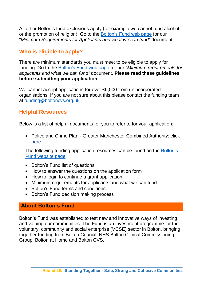All other Bolton's fund exclusions apply (for example we cannot fund alcohol or the promotion of religion). Go to the [Bolton's Fund web page](https://www.boltoncvs.org.uk/boltons-fund-0) for our "*Minimum Requirements for Applicants and what we can fund"* document.

# **Who is eligible to apply?**

There are minimum standards you must meet to be eligible to apply for funding. Go to the [Bolton's Fund web page](https://www.boltoncvs.org.uk/boltons-fund-0) for our "*Minimum requirements for applicants and what we can fund"* document. **Please read these guidelines before submitting your application.** 

We cannot accept applications for over £5,000 from unincorporated organisations. If you are not sure about this please contact the funding team at [funding@boltoncvs.org.uk](mailto:funding@boltoncvs.org.uk)

#### **Helpful Resources**

Below is a list of helpful documents for you to refer to for your application:

• Police and Crime Plan - Greater Manchester Combined Authority: click [here.](https://www.greatermanchester-ca.gov.uk/what-we-do/police-and-fire/police-and-crime-plan/)

The following funding application resources can be found on the [Bolton's](https://www.boltoncvs.org.uk/boltons-fund-0)  [Fund website page:](https://www.boltoncvs.org.uk/boltons-fund-0)

- Bolton's Fund list of questions
- How to answer the questions on the application form
- How to login to continue a grant application
- Minimum requirements for applicants and what we can fund
- Bolton's Fund terms and conditions
- Bolton's Fund decision making process

# **About Bolton's Fund**

Bolton's Fund was established to test new and innovative ways of investing and valuing our communities. The Fund is an investment programme for the voluntary, community and social enterprise (VCSE) sector in Bolton, bringing together funding from Bolton Council, NHS Bolton Clinical Commissioning Group, Bolton at Home and Bolton CVS.